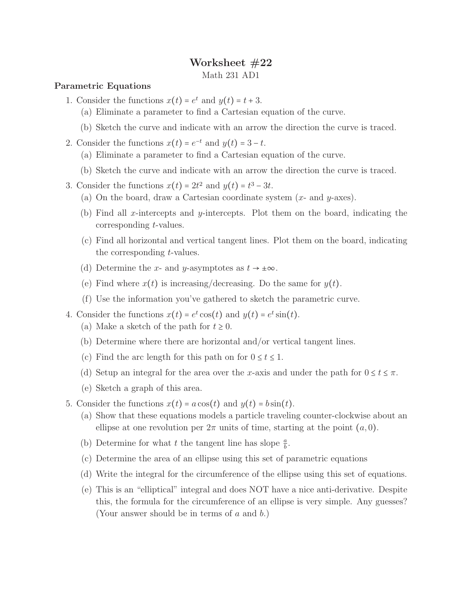## Worksheet #22

Math 231 AD1

## Parametric Equations

- 1. Consider the functions  $x(t) = e^t$  and  $y(t) = t + 3$ .
	- (a) Eliminate a parameter to find a Cartesian equation of the curve.
	- (b) Sketch the curve and indicate with an arrow the direction the curve is traced.
- 2. Consider the functions  $x(t) = e^{-t}$  and  $y(t) = 3 t$ .
	- (a) Eliminate a parameter to find a Cartesian equation of the curve.
	- (b) Sketch the curve and indicate with an arrow the direction the curve is traced.
- 3. Consider the functions  $x(t) = 2t^2$  and  $y(t) = t^3 3t$ .
	- (a) On the board, draw a Cartesian coordinate system  $(x-$  and y-axes).
	- (b) Find all x-intercepts and y-intercepts. Plot them on the board, indicating the corresponding t-values.
	- (c) Find all horizontal and vertical tangent lines. Plot them on the board, indicating the corresponding t-values.
	- (d) Determine the x- and y-asymptotes as  $t \to \pm \infty$ .
	- (e) Find where  $x(t)$  is increasing/decreasing. Do the same for  $y(t)$ .
	- (f) Use the information you've gathered to sketch the parametric curve.
- 4. Consider the functions  $x(t) = e^t \cos(t)$  and  $y(t) = e^t \sin(t)$ .
	- (a) Make a sketch of the path for  $t \geq 0$ .
	- (b) Determine where there are horizontal and/or vertical tangent lines.
	- (c) Find the arc length for this path on for  $0 \le t \le 1$ .
	- (d) Setup an integral for the area over the x-axis and under the path for  $0 \le t \le \pi$ .
	- (e) Sketch a graph of this area.
- 5. Consider the functions  $x(t) = a \cos(t)$  and  $y(t) = b \sin(t)$ .
	- (a) Show that these equations models a particle traveling counter-clockwise about an ellipse at one revolution per  $2\pi$  units of time, starting at the point  $(a, 0)$ .
	- (b) Determine for what t the tangent line has slope  $\frac{a}{b}$ .
	- (c) Determine the area of an ellipse using this set of parametric equations
	- (d) Write the integral for the circumference of the ellipse using this set of equations.
	- (e) This is an "elliptical" integral and does NOT have a nice anti-derivative. Despite this, the formula for the circumference of an ellipse is very simple. Any guesses? (Your answer should be in terms of a and b.)